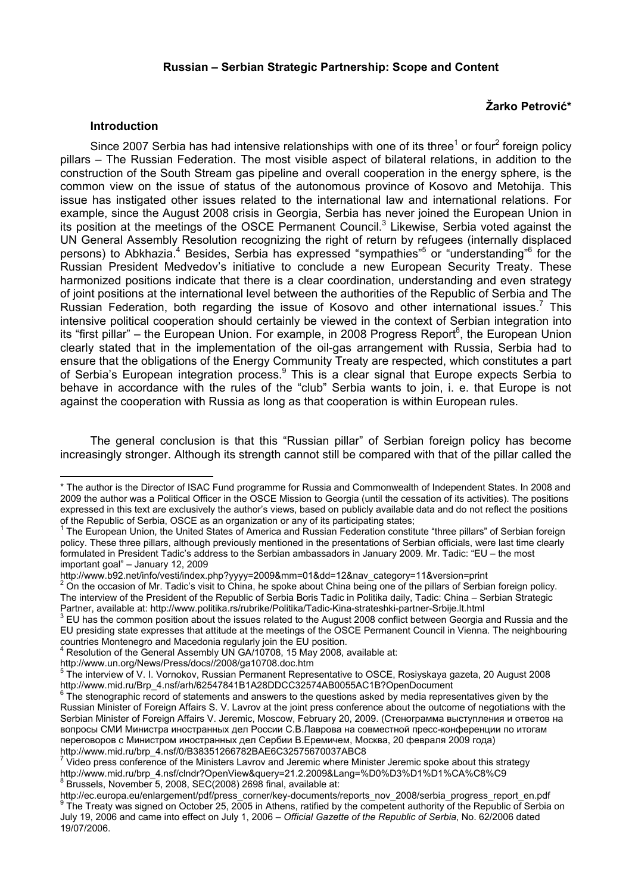#### **Russian – Serbian Strategic Partnership: Scope and Content**

# **Žarko Petrović\***

#### **Introduction**

Since 2007 Serbia has had intensive relationships with one of its three<sup>1</sup> or four<sup>2</sup> foreign policy pillars – The Russian Federation. The most visible aspect of bilateral relations, in addition to the construction of the South Stream gas pipeline and overall cooperation in the energy sphere, is the common view on the issue of status of the autonomous province of Kosovo and Metohija. This issue has instigated other issues related to the international law and international relations. For example, since the August 2008 crisis in Georgia, Serbia has never joined the European Union in its position at the meetings of the OSCE Permanent Council.<sup>3</sup> Likewise, Serbia voted against the UN General Assembly Resolution recognizing the right of return by refugees (internally displaced persons) to Abkhazia.<sup>4</sup> Besides, Serbia has expressed "sympathies"<sup>5</sup> or "understanding"<sup>6</sup> for the Russian President Medvedov's initiative to conclude a new European Security Treaty. These harmonized positions indicate that there is a clear coordination, understanding and even strategy of joint positions at the international level between the authorities of the Republic of Serbia and The Russian Federation, both regarding the issue of Kosovo and other international issues.<sup>7</sup> This intensive political cooperation should certainly be viewed in the context of Serbian integration into its "first pillar" – the European Union. For example, in 2008 Progress Report<sup>8</sup>, the European Union clearly stated that in the implementation of the oil-gas arrangement with Russia, Serbia had to ensure that the obligations of the Energy Community Treaty are respected, which constitutes a part of Serbia's European integration process.<sup>9</sup> This is a clear signal that Europe expects Serbia to behave in accordance with the rules of the "club" Serbia wants to join, i. e. that Europe is not against the cooperation with Russia as long as that cooperation is within European rules.

The general conclusion is that this "Russian pillar" of Serbian foreign policy has become increasingly stronger. Although its strength cannot still be compared with that of the pillar called the

http://www.un.org/News/Press/docs//2008/ga10708.doc.htm<br><sup>5</sup> The intensieur of V.L. Vernelseu, Buseien Permanent Penres

<sup>\*</sup> The author is the Director of ISAC Fund programme for Russia and Commonwealth of Independent States. In 2008 and 2009 the author was a Political Officer in the OSCE Mission to Georgia (until the cessation of its activities). The positions expressed in this text are exclusively the author's views, based on publicly available data and do not reflect the positions of the Republic of Serbia, OSCE as an organization or any of its participating states; 1

The European Union, the United States of America and Russian Federation constitute "three pillars" of Serbian foreign policy. These three pillars, although previously mentioned in the presentations of Serbian officials, were last time clearly formulated in President Tadic's address to the Serbian ambassadors in January 2009. Mr. Tadic: "EU – the most important goal" – January 12, 2009

http://www.b92.net/info/vesti/index.php?yyyy=2009&mm=01&dd=12&nav\_category=11&version=print 2

 $2\overline{O}$  on the occasion of Mr. Tadic's visit to China, he spoke about China being one of the pillars of Serbian foreign policy. The interview of the President of the Republic of Serbia Boris Tadic in Politika daily, Tadic: China – Serbian Strategic Partner, available at: http://www.politika.rs/rubrike/Politika/Tadic-Kina-strateshki-partner-Srbije.lt.html<sup>3</sup>

EU has the common position about the issues related to the August 2008 conflict between Georgia and Russia and the EU presiding state expresses that attitude at the meetings of the OSCE Permanent Council in Vienna. The neighbouring countries Montenegro and Macedonia regularly join the EU position.<br><sup>4</sup> Besolution of the Coneral Assembly UN CA (19798, 15 May 2008, c

Resolution of the General Assembly UN GA/10708, 15 May 2008, available at:

The interview of V. I. Vornokov, Russian Permanent Representative to OSCE, Rosiyskaya gazeta, 20 August 2008 http://www.mid.ru/Brp\_4.nsf/arh/62547841B1A28DDCC32574AB0055AC1B?OpenDocument

 $6$  The stenographic record of statements and answers to the questions asked by media representatives given by the Russian Minister of Foreign Affairs S. V. Lavrov at the joint press conference about the outcome of negotiations with the Serbian Minister of Foreign Affairs V. Jeremic, Moscow, February 20, 2009. (Стенограмма выступления и ответов на вопросы СМИ Министра иностранных дел России С.В.Лаврова на совместной пресс-конференции по итогам переговоров с Министром иностранных дел Сербии В.Еремичем, Москва, 20 февраля 2009 года) http://www.mid.ru/brp\_4.nsf/0/B38351266782BAE6C32575670037ABC8

<sup>7</sup> Video press conference of the Ministers Lavrov and Jeremic where Minister Jeremic spoke about this strategy http://www.mid.ru/brp\_4.nsf/cIndr?OpenView&query=21.2.2009&Lang=%D0%D3%D1%D1%CA%C8%C9<br><sup>8</sup> Brussels, November 5, 2008, SEC(2008),2608 final, quailable at: Brussels, November 5, 2008, SEC(2008) 2698 final, available at:

http://ec.europa.eu/enlargement/pdf/press\_corner/key-documents/reports\_nov\_2008/serbia\_progress\_report\_en.pdf <sup>9</sup> The Treaty was signed on October 25, 2005 in Athens, ratified by the competent authority of the Republic of Serbia on July 19, 2006 and came into effect on July 1, 2006 – *Official Gazette of the Republic of Serbia*, No. 62/2006 dated

<sup>19/07/2006.</sup>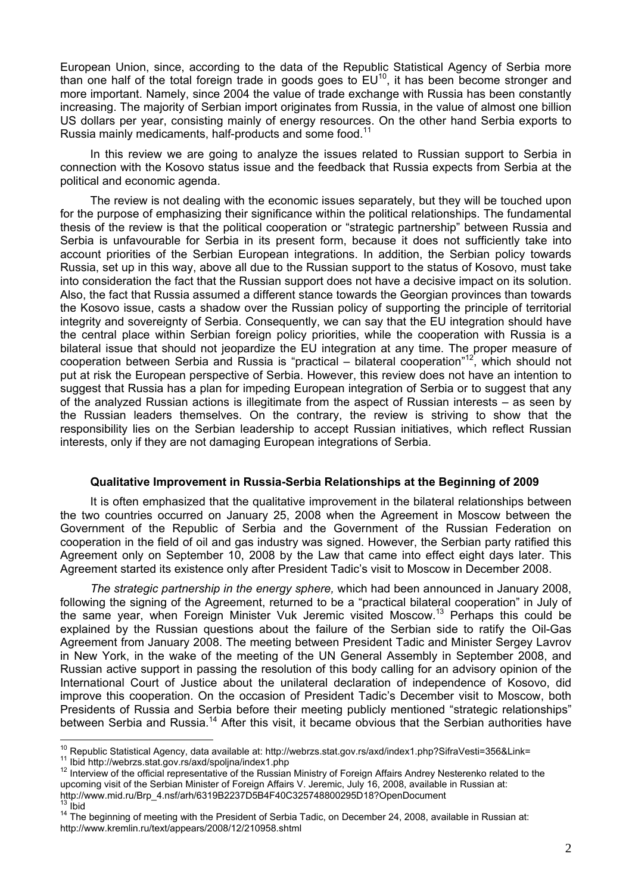European Union, since, according to the data of the Republic Statistical Agency of Serbia more than one half of the total foreign trade in goods goes to  $EU^{10}$ , it has been become stronger and more important. Namely, since 2004 the value of trade exchange with Russia has been constantly increasing. The majority of Serbian import originates from Russia, in the value of almost one billion US dollars per year, consisting mainly of energy resources. On the other hand Serbia exports to Russia mainly medicaments, half-products and some food.<sup>11</sup>

In this review we are going to analyze the issues related to Russian support to Serbia in connection with the Kosovo status issue and the feedback that Russia expects from Serbia at the political and economic agenda.

The review is not dealing with the economic issues separately, but they will be touched upon for the purpose of emphasizing their significance within the political relationships. The fundamental thesis of the review is that the political cooperation or "strategic partnership" between Russia and Serbia is unfavourable for Serbia in its present form, because it does not sufficiently take into account priorities of the Serbian European integrations. In addition, the Serbian policy towards Russia, set up in this way, above all due to the Russian support to the status of Kosovo, must take into consideration the fact that the Russian support does not have a decisive impact on its solution. Also, the fact that Russia assumed a different stance towards the Georgian provinces than towards the Kosovo issue, casts a shadow over the Russian policy of supporting the principle of territorial integrity and sovereignty of Serbia. Consequently, we can say that the EU integration should have the central place within Serbian foreign policy priorities, while the cooperation with Russia is a bilateral issue that should not jeopardize the EU integration at any time. The proper measure of cooperation between Serbia and Russia is "practical – bilateral cooperation"12, which should not put at risk the European perspective of Serbia. However, this review does not have an intention to suggest that Russia has a plan for impeding European integration of Serbia or to suggest that any of the analyzed Russian actions is illegitimate from the aspect of Russian interests – as seen by the Russian leaders themselves. On the contrary, the review is striving to show that the responsibility lies on the Serbian leadership to accept Russian initiatives, which reflect Russian interests, only if they are not damaging European integrations of Serbia.

### **Qualitative Improvement in Russia-Serbia Relationships at the Beginning of 2009**

It is often emphasized that the qualitative improvement in the bilateral relationships between the two countries occurred on January 25, 2008 when the Agreement in Moscow between the Government of the Republic of Serbia and the Government of the Russian Federation on cooperation in the field of oil and gas industry was signed. However, the Serbian party ratified this Agreement only on September 10, 2008 by the Law that came into effect eight days later. This Agreement started its existence only after President Tadic's visit to Moscow in December 2008.

*The strategic partnership in the energy sphere,* which had been announced in January 2008, following the signing of the Agreement, returned to be a "practical bilateral cooperation" in July of the same year, when Foreign Minister Vuk Jeremic visited Moscow.13 Perhaps this could be explained by the Russian questions about the failure of the Serbian side to ratify the Oil-Gas Agreement from January 2008. The meeting between President Tadic and Minister Sergey Lavrov in New York, in the wake of the meeting of the UN General Assembly in September 2008, and Russian active support in passing the resolution of this body calling for an advisory opinion of the International Court of Justice about the unilateral declaration of independence of Kosovo, did improve this cooperation. On the occasion of President Tadic's December visit to Moscow, both Presidents of Russia and Serbia before their meeting publicly mentioned "strategic relationships" between Serbia and Russia.<sup>14</sup> After this visit, it became obvious that the Serbian authorities have

<sup>&</sup>lt;sup>10</sup> Republic Statistical Agency, data available at: http://webrzs.stat.gov.rs/axd/index1.php?SifraVesti=356&Link=

<sup>11</sup> Ibid http://webrzs.stat.gov.rs/axd/spoljna/index1.php<br><sup>12</sup> Interview of the official representative of the Russian Ministry of Foreign Affairs Andrey Nesterenko related to the upcoming visit of the Serbian Minister of Foreign Affairs V. Jeremic, July 16, 2008, available in Russian at:<br>http://www.mid.ru/Brp 4.nsf/arh/6319B2237D5B4F40C325748800295D18?OpenDocument

<sup>&</sup>lt;sup>13</sup> Ibid<br><sup>14</sup> The beginning of meeting with the President of Serbia Tadic, on December 24, 2008, available in Russian at: http://www.kremlin.ru/text/appears/2008/12/210958.shtml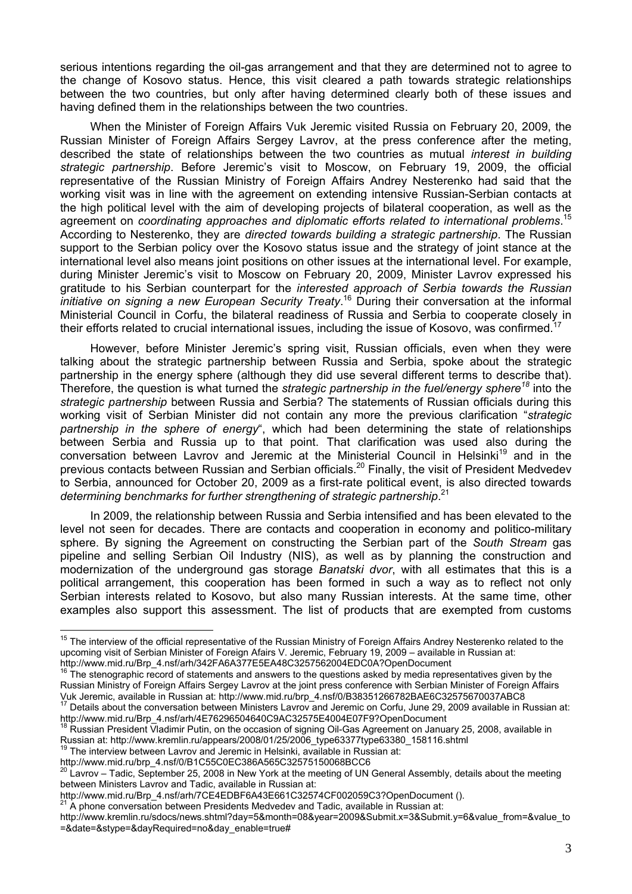serious intentions regarding the oil-gas arrangement and that they are determined not to agree to the change of Kosovo status. Hence, this visit cleared a path towards strategic relationships between the two countries, but only after having determined clearly both of these issues and having defined them in the relationships between the two countries.

When the Minister of Foreign Affairs Vuk Jeremic visited Russia on February 20, 2009, the Russian Minister of Foreign Affairs Sergey Lavrov, at the press conference after the meting, described the state of relationships between the two countries as mutual *interest in building strategic partnership*. Before Jeremic's visit to Moscow, on February 19, 2009, the official representative of the Russian Ministry of Foreign Affairs Andrey Nesterenko had said that the working visit was in line with the agreement on extending intensive Russian-Serbian contacts at the high political level with the aim of developing projects of bilateral cooperation, as well as the agreement on *coordinating approaches and diplomatic efforts related to international problems*. 15 According to Nesterenko, they are *directed towards building a strategic partnership*. The Russian support to the Serbian policy over the Kosovo status issue and the strategy of joint stance at the international level also means joint positions on other issues at the international level. For example, during Minister Jeremic's visit to Moscow on February 20, 2009, Minister Lavrov expressed his gratitude to his Serbian counterpart for the *interested approach of Serbia towards the Russian initiative on signing a new European Security Treaty*. 16 During their conversation at the informal Ministerial Council in Corfu, the bilateral readiness of Russia and Serbia to cooperate closely in their efforts related to crucial international issues, including the issue of Kosovo, was confirmed.17

However, before Minister Jeremic's spring visit, Russian officials, even when they were talking about the strategic partnership between Russia and Serbia, spoke about the strategic partnership in the energy sphere (although they did use several different terms to describe that). Therefore, the question is what turned the *strategic partnership in the fuel/energy sphere<sup>18</sup>* into the *strategic partnership* between Russia and Serbia? The statements of Russian officials during this working visit of Serbian Minister did not contain any more the previous clarification "*strategic partnership in the sphere of energy*", which had been determining the state of relationships between Serbia and Russia up to that point. That clarification was used also during the conversation between Lavrov and Jeremic at the Ministerial Council in Helsinki<sup>19</sup> and in the previous contacts between Russian and Serbian officials.20 Finally, the visit of President Medvedev to Serbia, announced for October 20, 2009 as a first-rate political event, is also directed towards *determining benchmarks for further strengthening of strategic partnership*. 21

In 2009, the relationship between Russia and Serbia intensified and has been elevated to the level not seen for decades. There are contacts and cooperation in economy and politico-military sphere. By signing the Agreement on constructing the Serbian part of the *South Stream* gas pipeline and selling Serbian Oil Industry (NIS), as well as by planning the construction and modernization of the underground gas storage *Banatski dvor*, with all estimates that this is a political arrangement, this cooperation has been formed in such a way as to reflect not only Serbian interests related to Kosovo, but also many Russian interests. At the same time, other examples also support this assessment. The list of products that are exempted from customs

<sup>&</sup>lt;sup>15</sup> The interview of the official representative of the Russian Ministry of Foreign Affairs Andrey Nesterenko related to the upcoming visit of Serbian Minister of Foreign Afairs V. Jeremic, February 19, 2009 – available in Russian at: http://www.mid.ru/Brp\_4.nsf/arh/342FA6A377E5EA48C3257562004EDC0A?OpenDocument

<sup>16</sup> The stenographic record of statements and answers to the questions asked by media representatives given by the Russian Ministry of Foreign Affairs Sergey Lavrov at the joint press conference with Serbian Minister of Foreign Affairs<br>Vuk Jeremic, available in Russian at: http://www.mid.ru/brp 4.nsf/0/B38351266782BAE6C32575670037ABC8

<sup>&</sup>lt;sup>17</sup> Details about the conversation between Ministers Lavrov and Jeremic on Corfu, June 29, 2009 available in Russian at: http://www.mid.ru/Brp\_4.nsf/arh/4E76296504640C9AC32575E4004E07F9?OpenDocument

Russian President Vladimir Putin, on the occasion of signing Oil-Gas Agreement on January 25, 2008, available in Russian at: http://www.kremlin.ru/appears/2008/01/25/2006\_type63377type63380\_158116.shtml 19 The interview between Lavrov and Jeremic in Helsinki, available in Russian at:

http://www.mid.ru/brp\_4.nsf/0/B1C55C0EC386A565C32575150068BCC6

<sup>&</sup>lt;sup>20</sup> Lavrov – Tadic, September 25, 2008 in New York at the meeting of UN General Assembly, details about the meeting between Ministers Lavrov and Tadic, available in Russian at:

http://www.mid.ru/Brp\_4.nsf/arh/7CE4EDBF6A43E661C32574CF002059C3?OpenDocument ().

 $21$ <sup>21</sup> A phone conversation between Presidents Medvedev and Tadic, available in Russian at:

http://www.kremlin.ru/sdocs/news.shtml?day=5&month=08&year=2009&Submit.x=3&Submit.y=6&value\_from=&value\_to =&date=&stype=&dayRequired=no&day\_enable=true#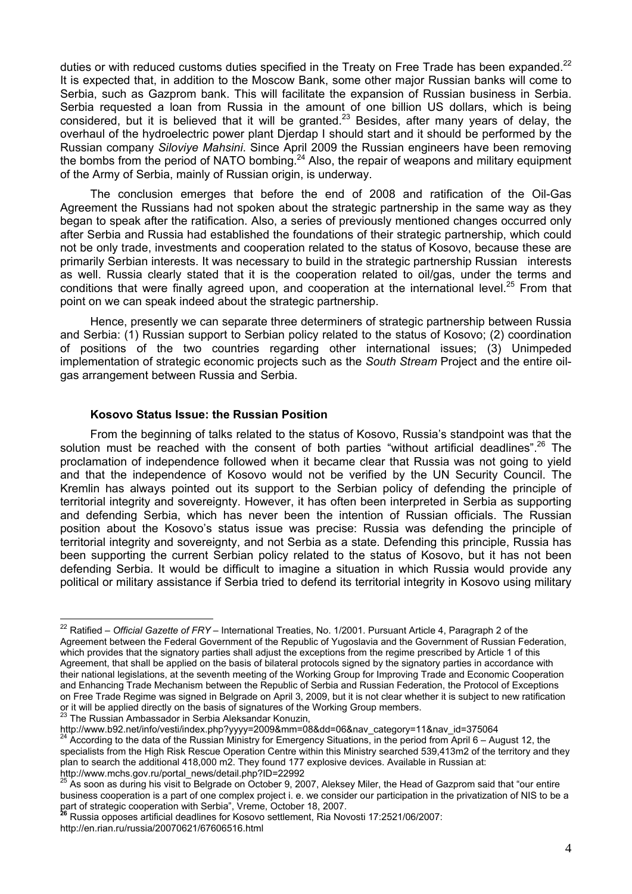duties or with reduced customs duties specified in the Treaty on Free Trade has been expanded.<sup>22</sup> It is expected that, in addition to the Moscow Bank, some other major Russian banks will come to Serbia, such as Gazprom bank. This will facilitate the expansion of Russian business in Serbia. Serbia requested a loan from Russia in the amount of one billion US dollars, which is being considered, but it is believed that it will be granted.<sup>23</sup> Besides, after many years of delay, the overhaul of the hydroelectric power plant Djerdap I should start and it should be performed by the Russian company *Siloviye Mahsini*. Since April 2009 the Russian engineers have been removing the bombs from the period of NATO bombing.<sup>24</sup> Also, the repair of weapons and military equipment of the Army of Serbia, mainly of Russian origin, is underway.

The conclusion emerges that before the end of 2008 and ratification of the Oil-Gas Agreement the Russians had not spoken about the strategic partnership in the same way as they began to speak after the ratification. Also, a series of previously mentioned changes occurred only after Serbia and Russia had established the foundations of their strategic partnership, which could not be only trade, investments and cooperation related to the status of Kosovo, because these are primarily Serbian interests. It was necessary to build in the strategic partnership Russian interests as well. Russia clearly stated that it is the cooperation related to oil/gas, under the terms and conditions that were finally agreed upon, and cooperation at the international level.<sup>25</sup> From that point on we can speak indeed about the strategic partnership.

Hence, presently we can separate three determiners of strategic partnership between Russia and Serbia: (1) Russian support to Serbian policy related to the status of Kosovo; (2) coordination of positions of the two countries regarding other international issues; (3) Unimpeded implementation of strategic economic projects such as the *South Stream* Project and the entire oilgas arrangement between Russia and Serbia.

#### **Kosovo Status Issue: the Russian Position**

From the beginning of talks related to the status of Kosovo, Russia's standpoint was that the solution must be reached with the consent of both parties "without artificial deadlines".<sup>26</sup> The proclamation of independence followed when it became clear that Russia was not going to yield and that the independence of Kosovo would not be verified by the UN Security Council. The Kremlin has always pointed out its support to the Serbian policy of defending the principle of territorial integrity and sovereignty. However, it has often been interpreted in Serbia as supporting and defending Serbia, which has never been the intention of Russian officials. The Russian position about the Kosovo's status issue was precise: Russia was defending the principle of territorial integrity and sovereignty, and not Serbia as a state. Defending this principle, Russia has been supporting the current Serbian policy related to the status of Kosovo, but it has not been defending Serbia. It would be difficult to imagine a situation in which Russia would provide any political or military assistance if Serbia tried to defend its territorial integrity in Kosovo using military

<sup>22</sup> Ratified – *Official Gazette of FRY* – International Treaties, No. 1/2001. Pursuant Article 4, Paragraph 2 of the Agreement between the Federal Government of the Republic of Yugoslavia and the Government of Russian Federation, which provides that the signatory parties shall adjust the exceptions from the regime prescribed by Article 1 of this Agreement, that shall be applied on the basis of bilateral protocols signed by the signatory parties in accordance with their national legislations, at the seventh meeting of the Working Group for Improving Trade and Economic Cooperation and Enhancing Trade Mechanism between the Republic of Serbia and Russian Federation, the Protocol of Exceptions on Free Trade Regime was signed in Belgrade on April 3, 2009, but it is not clear whether it is subject to new ratification or it will be applied directly on the basis of signatures of the Working Group members.<br><sup>23</sup> The Russian Ambassador in Serbia Aleksandar Konuzin,<br>http://www.b92.net/info/vesti/index.php?yyyy=2009&mm=08&dd=06&nav category=1

 $^4$  According to the data of the Russian Ministry for Emergency Situations, in the period from April 6 – August 12, the specialists from the High Risk Rescue Operation Centre within this Ministry searched 539,413m2 of the territory and they plan to search the additional 418,000 m2. They found 177 explosive devices. Available in Russian at: http://www.mchs.gov.ru/portal\_news/detail.php?ID=22992

As soon as during his visit to Belgrade on October 9, 2007, Aleksey Miler, the Head of Gazprom said that "our entire business cooperation is a part of one complex project i. e. we consider our participation in the privatization of NIS to be a part of strategic cooperation with Serbia", Vreme, October 18, 2007. **<sup>26</sup>** Russia opposes artificial deadlines for Kosovo settlement, Ria Novosti 17:2521/06/2007:

http://en.rian.ru/russia/20070621/67606516.html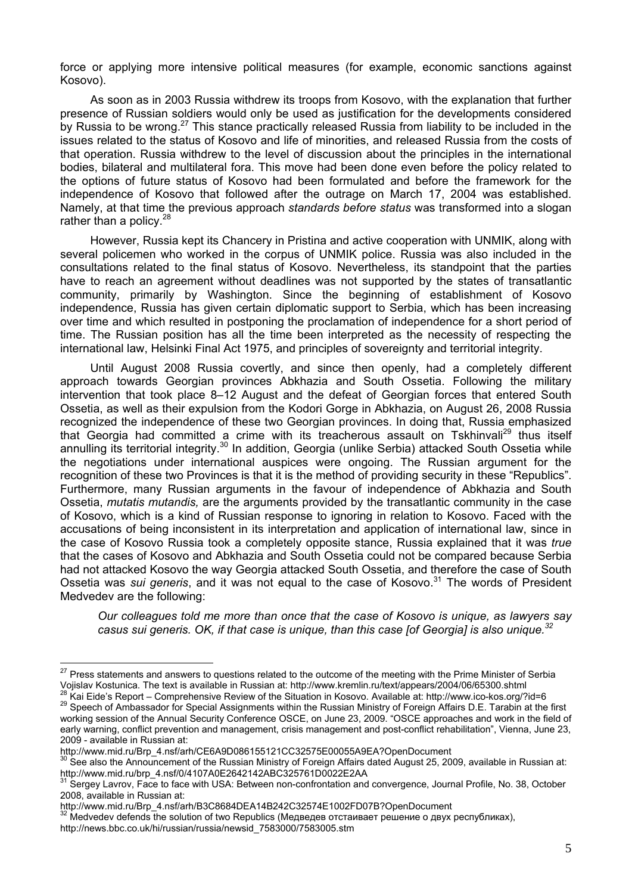force or applying more intensive political measures (for example, economic sanctions against Kosovo).

As soon as in 2003 Russia withdrew its troops from Kosovo, with the explanation that further presence of Russian soldiers would only be used as justification for the developments considered by Russia to be wrong.<sup>27</sup> This stance practically released Russia from liability to be included in the issues related to the status of Kosovo and life of minorities, and released Russia from the costs of that operation. Russia withdrew to the level of discussion about the principles in the international bodies, bilateral and multilateral fora. This move had been done even before the policy related to the options of future status of Kosovo had been formulated and before the framework for the independence of Kosovo that followed after the outrage on March 17, 2004 was established. Namely, at that time the previous approach *standards before status* was transformed into a slogan rather than a policy.<sup>28</sup>

However, Russia kept its Chancery in Pristina and active cooperation with UNMIK, along with several policemen who worked in the corpus of UNMIK police. Russia was also included in the consultations related to the final status of Kosovo. Nevertheless, its standpoint that the parties have to reach an agreement without deadlines was not supported by the states of transatlantic community, primarily by Washington. Since the beginning of establishment of Kosovo independence, Russia has given certain diplomatic support to Serbia, which has been increasing over time and which resulted in postponing the proclamation of independence for a short period of time. The Russian position has all the time been interpreted as the necessity of respecting the international law, Helsinki Final Act 1975, and principles of sovereignty and territorial integrity.

Until August 2008 Russia covertly, and since then openly, had a completely different approach towards Georgian provinces Abkhazia and South Ossetia. Following the military intervention that took place 8–12 August and the defeat of Georgian forces that entered South Ossetia, as well as their expulsion from the Kodori Gorge in Abkhazia, on August 26, 2008 Russia recognized the independence of these two Georgian provinces. In doing that, Russia emphasized that Georgia had committed a crime with its treacherous assault on Tskhinvali<sup>29</sup> thus itself annulling its territorial integrity.<sup>30</sup> In addition, Georgia (unlike Serbia) attacked South Ossetia while the negotiations under international auspices were ongoing. The Russian argument for the recognition of these two Provinces is that it is the method of providing security in these "Republics". Furthermore, many Russian arguments in the favour of independence of Abkhazia and South Ossetia, *mutatis mutandis,* are the arguments provided by the transatlantic community in the case of Kosovo, which is a kind of Russian response to ignoring in relation to Kosovo. Faced with the accusations of being inconsistent in its interpretation and application of international law, since in the case of Kosovo Russia took a completely opposite stance, Russia explained that it was *true*  that the cases of Kosovo and Abkhazia and South Ossetia could not be compared because Serbia had not attacked Kosovo the way Georgia attacked South Ossetia, and therefore the case of South Ossetia was *sui generis*, and it was not equal to the case of Kosovo.<sup>31</sup> The words of President Medvedev are the following:

*Our colleagues told me more than once that the case of Kosovo is unique, as lawyers say casus sui generis. OK, if that case is unique, than this case [of Georgia] is also unique.32*

<sup>&</sup>lt;sup>27</sup> Press statements and answers to questions related to the outcome of the meeting with the Prime Minister of Serbia Vojislav Kostunica. The text is available in Russian at: http://www.kremlin.ru/text/appears/2004/06/65300.shtml<br><sup>28</sup> Kai Eide's Report – Comprehensive Review of the Situation in Kosovo. Available at: http://www.ico-kos.org

working session of the Annual Security Conference OSCE, on June 23, 2009. "OSCE approaches and work in the field of early warning, conflict prevention and management, crisis management and post-conflict rehabilitation", Vienna, June 23, 2009 - available in Russian at:

http://www.mid.ru/Brp\_4.nsf/arh/CE6A9D086155121CC32575E00055A9EA?OpenDocument

<sup>&</sup>lt;sup>30</sup> See also the Announcement of the Russian Ministry of Foreign Affairs dated August 25, 2009, available in Russian at: http://www.mid.ru/brp\_4.nsf/0/4107A0E2642142ABC325761D0022E2AA

Sergey Lavrov, Face to face with USA: Between non-confrontation and convergence, Journal Profile, No. 38, October 2008, available in Russian at:

http://www.mid.ru/Brp\_4.nsf/arh/B3C8684DEA14B242C32574E1002FD07B?OpenDocument

**<sup>322</sup> Medvedev defends the solution of two Republics (Медведев отстаивает решение о двух республиках),** 

http://news.bbc.co.uk/hi/russian/russia/newsid\_7583000/7583005.stm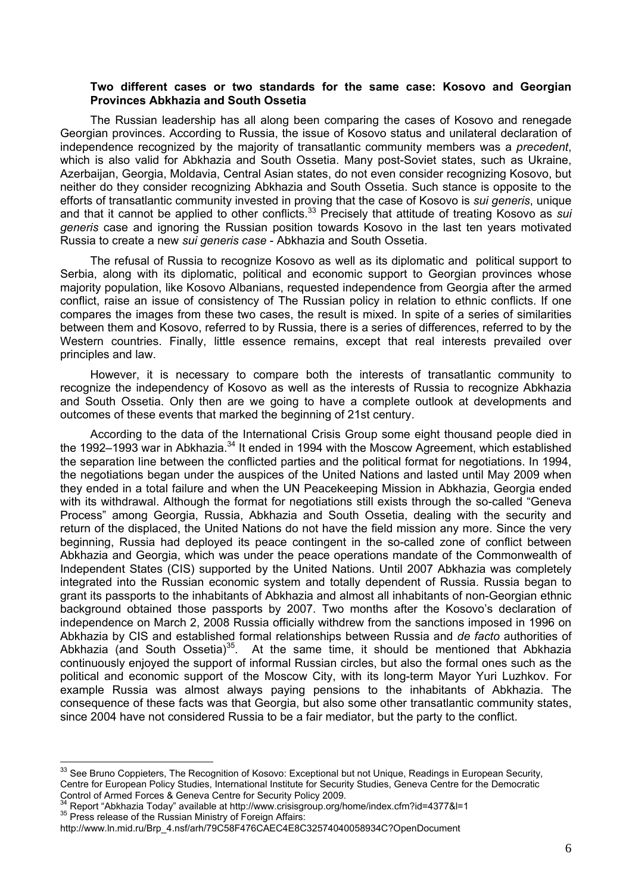### **Two different cases or two standards for the same case: Kosovo and Georgian Provinces Abkhazia and South Ossetia**

The Russian leadership has all along been comparing the cases of Kosovo and renegade Georgian provinces. According to Russia, the issue of Kosovo status and unilateral declaration of independence recognized by the majority of transatlantic community members was a *precedent*, which is also valid for Abkhazia and South Ossetia. Many post-Soviet states, such as Ukraine, Azerbaijan, Georgia, Moldavia, Central Asian states, do not even consider recognizing Kosovo, but neither do they consider recognizing Abkhazia and South Ossetia. Such stance is opposite to the efforts of transatlantic community invested in proving that the case of Kosovo is *sui generis*, unique and that it cannot be applied to other conflicts.33 Precisely that attitude of treating Kosovo as *sui generis* case and ignoring the Russian position towards Kosovo in the last ten years motivated Russia to create a new *sui generis case* - Abkhazia and South Ossetia.

The refusal of Russia to recognize Kosovo as well as its diplomatic and political support to Serbia, along with its diplomatic, political and economic support to Georgian provinces whose majority population, like Kosovo Albanians, requested independence from Georgia after the armed conflict, raise an issue of consistency of The Russian policy in relation to ethnic conflicts. If one compares the images from these two cases, the result is mixed. In spite of a series of similarities between them and Kosovo, referred to by Russia, there is a series of differences, referred to by the Western countries. Finally, little essence remains, except that real interests prevailed over principles and law.

However, it is necessary to compare both the interests of transatlantic community to recognize the independency of Kosovo as well as the interests of Russia to recognize Abkhazia and South Ossetia. Only then are we going to have a complete outlook at developments and outcomes of these events that marked the beginning of 21st century.

According to the data of the International Crisis Group some eight thousand people died in the 1992–1993 war in Abkhazia.<sup>34</sup> It ended in 1994 with the Moscow Agreement, which established the separation line between the conflicted parties and the political format for negotiations. In 1994, the negotiations began under the auspices of the United Nations and lasted until May 2009 when they ended in a total failure and when the UN Peacekeeping Mission in Abkhazia, Georgia ended with its withdrawal. Although the format for negotiations still exists through the so-called "Geneva Process" among Georgia, Russia, Abkhazia and South Ossetia, dealing with the security and return of the displaced, the United Nations do not have the field mission any more. Since the very beginning, Russia had deployed its peace contingent in the so-called zone of conflict between Abkhazia and Georgia, which was under the peace operations mandate of the Commonwealth of Independent States (CIS) supported by the United Nations. Until 2007 Abkhazia was completely integrated into the Russian economic system and totally dependent of Russia. Russia began to grant its passports to the inhabitants of Abkhazia and almost all inhabitants of non-Georgian ethnic background obtained those passports by 2007. Two months after the Kosovo's declaration of independence on March 2, 2008 Russia officially withdrew from the sanctions imposed in 1996 on Abkhazia by CIS and established formal relationships between Russia and *de facto* authorities of Abkhazia (and South Ossetia)<sup>35</sup>. At the same time, it should be mentioned that Abkhazia continuously enjoyed the support of informal Russian circles, but also the formal ones such as the political and economic support of the Moscow City, with its long-term Mayor Yuri Luzhkov. For example Russia was almost always paying pensions to the inhabitants of Abkhazia. The consequence of these facts was that Georgia, but also some other transatlantic community states, since 2004 have not considered Russia to be a fair mediator, but the party to the conflict.

 $33$  See Bruno Coppieters, The Recognition of Kosovo: Exceptional but not Unique, Readings in European Security, Centre for European Policy Studies, International Institute for Security Studies, Geneva Centre for the Democratic Control of Armed Forces & Geneva Centre for Security Policy 2009.

<sup>&</sup>lt;sup>34</sup> Report "Abkhazia Today" available at http://www.crisisgroup.org/home/index.cfm?id=4377&l=1<br><sup>35</sup> Press release of the Russian Ministry of Foreign Affairs:

http://www.ln.mid.ru/Brp\_4.nsf/arh/79C58F476CAEC4E8C32574040058934C?OpenDocument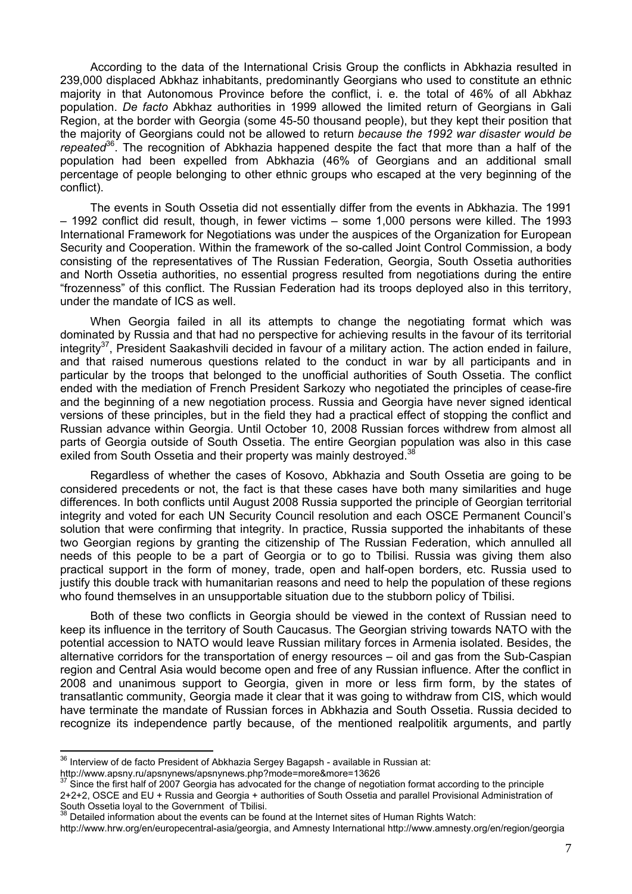According to the data of the International Crisis Group the conflicts in Abkhazia resulted in 239,000 displaced Abkhaz inhabitants, predominantly Georgians who used to constitute an ethnic majority in that Autonomous Province before the conflict, i. e. the total of 46% of all Abkhaz population. *De facto* Abkhaz authorities in 1999 allowed the limited return of Georgians in Gali Region, at the border with Georgia (some 45-50 thousand people), but they kept their position that the majority of Georgians could not be allowed to return *because the 1992 war disaster would be repeated*36. The recognition of Abkhazia happened despite the fact that more than a half of the population had been expelled from Abkhazia (46% of Georgians and an additional small percentage of people belonging to other ethnic groups who escaped at the very beginning of the conflict).

The events in South Ossetia did not essentially differ from the events in Abkhazia. The 1991 – 1992 conflict did result, though, in fewer victims – some 1,000 persons were killed. The 1993 International Framework for Negotiations was under the auspices of the Organization for European Security and Cooperation. Within the framework of the so-called Joint Control Commission, a body consisting of the representatives of The Russian Federation, Georgia, South Ossetia authorities and North Ossetia authorities, no essential progress resulted from negotiations during the entire "frozenness" of this conflict. The Russian Federation had its troops deployed also in this territory, under the mandate of ICS as well.

When Georgia failed in all its attempts to change the negotiating format which was dominated by Russia and that had no perspective for achieving results in the favour of its territorial integrity $37$ , President Saakashvili decided in favour of a military action. The action ended in failure, and that raised numerous questions related to the conduct in war by all participants and in particular by the troops that belonged to the unofficial authorities of South Ossetia. The conflict ended with the mediation of French President Sarkozy who negotiated the principles of cease-fire and the beginning of a new negotiation process. Russia and Georgia have never signed identical versions of these principles, but in the field they had a practical effect of stopping the conflict and Russian advance within Georgia. Until October 10, 2008 Russian forces withdrew from almost all parts of Georgia outside of South Ossetia. The entire Georgian population was also in this case exiled from South Ossetia and their property was mainly destroyed.<sup>38</sup>

Regardless of whether the cases of Kosovo, Abkhazia and South Ossetia are going to be considered precedents or not, the fact is that these cases have both many similarities and huge differences. In both conflicts until August 2008 Russia supported the principle of Georgian territorial integrity and voted for each UN Security Council resolution and each OSCE Permanent Council's solution that were confirming that integrity. In practice, Russia supported the inhabitants of these two Georgian regions by granting the citizenship of The Russian Federation, which annulled all needs of this people to be a part of Georgia or to go to Tbilisi. Russia was giving them also practical support in the form of money, trade, open and half-open borders, etc. Russia used to justify this double track with humanitarian reasons and need to help the population of these regions who found themselves in an unsupportable situation due to the stubborn policy of Tbilisi.

Both of these two conflicts in Georgia should be viewed in the context of Russian need to keep its influence in the territory of South Caucasus. The Georgian striving towards NATO with the potential accession to NATO would leave Russian military forces in Armenia isolated. Besides, the alternative corridors for the transportation of energy resources – oil and gas from the Sub-Caspian region and Central Asia would become open and free of any Russian influence. After the conflict in 2008 and unanimous support to Georgia, given in more or less firm form, by the states of transatlantic community, Georgia made it clear that it was going to withdraw from CIS, which would have terminate the mandate of Russian forces in Abkhazia and South Ossetia. Russia decided to recognize its independence partly because, of the mentioned realpolitik arguments, and partly

http://www.apsny.ru/apsnynews/apsnynews.php?mode=more&more=13626

 $36$  Interview of de facto President of Abkhazia Sergey Bagapsh - available in Russian at:

Since the first half of 2007 Georgia has advocated for the change of negotiation format according to the principle 2+2+2, OSCE and EU + Russia and Georgia + authorities of South Ossetia and parallel Provisional Administration of

 $38$  Detailed information about the events can be found at the Internet sites of Human Rights Watch:

http://www.hrw.org/en/europecentral-asia/georgia, and Amnesty International http://www.amnesty.org/en/region/georgia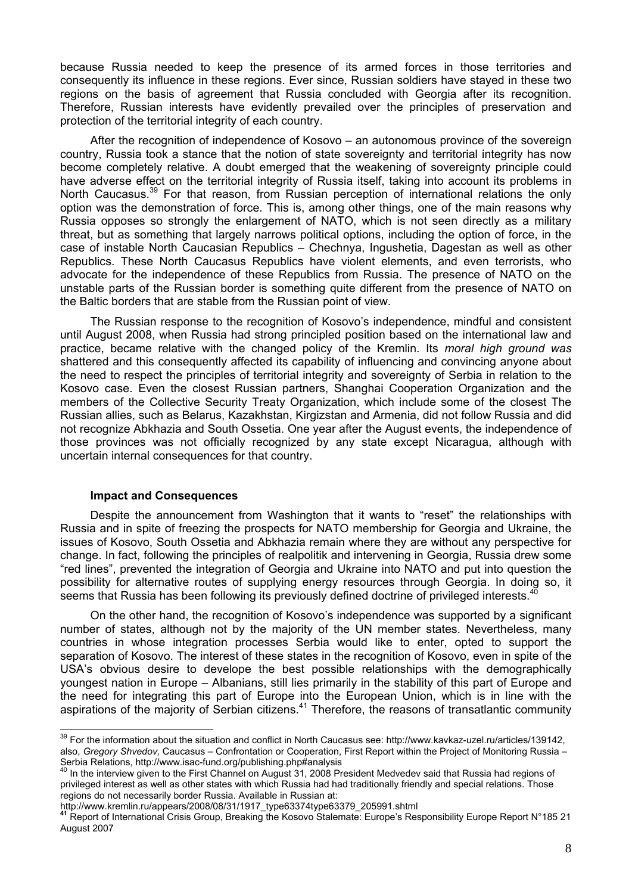because Russia needed to keep the presence of its armed forces in those territories and consequently its influence in these regions. Ever since, Russian soldiers have stayed in these two regions on the basis of agreement that Russia concluded with Georgia after its recognition. Therefore, Russian interests have evidently prevailed over the principles of preservation and protection of the territorial integrity of each country.

After the recognition of independence of Kosovo – an autonomous province of the sovereign country, Russia took a stance that the notion of state sovereignty and territorial integrity has now become completely relative. A doubt emerged that the weakening of sovereignty principle could have adverse effect on the territorial integrity of Russia itself, taking into account its problems in North Caucasus.<sup>39</sup> For that reason, from Russian perception of international relations the only option was the demonstration of force. This is, among other things, one of the main reasons why Russia opposes so strongly the enlargement of NATO, which is not seen directly as a military threat, but as something that largely narrows political options, including the option of force, in the case of instable North Caucasian Republics – Chechnya, Ingushetia, Dagestan as well as other Republics. These North Caucasus Republics have violent elements, and even terrorists, who advocate for the independence of these Republics from Russia. The presence of NATO on the unstable parts of the Russian border is something quite different from the presence of NATO on the Baltic borders that are stable from the Russian point of view.

The Russian response to the recognition of Kosovo's independence, mindful and consistent until August 2008, when Russia had strong principled position based on the international law and practice, became relative with the changed policy of the Kremlin. Its *moral high ground was* shattered and this consequently affected its capability of influencing and convincing anyone about the need to respect the principles of territorial integrity and sovereignty of Serbia in relation to the Kosovo case. Even the closest Russian partners, Shanghai Cooperation Organization and the members of the Collective Security Treaty Organization, which include some of the closest The Russian allies, such as Belarus, Kazakhstan, Kirgizstan and Armenia, did not follow Russia and did not recognize Abkhazia and South Ossetia. One year after the August events, the independence of those provinces was not officially recognized by any state except Nicaragua, although with uncertain internal consequences for that country.

### **Impact and Consequences**

 $\overline{a}$ 

Despite the announcement from Washington that it wants to "reset" the relationships with Russia and in spite of freezing the prospects for NATO membership for Georgia and Ukraine, the issues of Kosovo, South Ossetia and Abkhazia remain where they are without any perspective for change. In fact, following the principles of realpolitik and intervening in Georgia, Russia drew some "red lines", prevented the integration of Georgia and Ukraine into NATO and put into question the possibility for alternative routes of supplying energy resources through Georgia. In doing so, it seems that Russia has been following its previously defined doctrine of privileged interests.<sup>4</sup>

On the other hand, the recognition of Kosovo's independence was supported by a significant number of states, although not by the majority of the UN member states. Nevertheless, many countries in whose integration processes Serbia would like to enter, opted to support the separation of Kosovo. The interest of these states in the recognition of Kosovo, even in spite of the USA's obvious desire to develope the best possible relationships with the demographically youngest nation in Europe – Albanians, still lies primarily in the stability of this part of Europe and the need for integrating this part of Europe into the European Union, which is in line with the aspirations of the majority of Serbian citizens.<sup>41</sup> Therefore, the reasons of transatlantic community

 $39$  For the information about the situation and conflict in North Caucasus see: http://www.kavkaz-uzel.ru/articles/139142, also, *Gregory Shvedov,* Caucasus – Confrontation or Cooperation, First Report within the Project of Monitoring Russia – Serbia Relations, http://www.isac-fund.org/publishing.php#analysis

<sup>40</sup> In the interview given to the First Channel on August 31, 2008 President Medvedev said that Russia had regions of privileged interest as well as other states with which Russia had had traditionally friendly and special relations. Those regions do not necessarily border Russia. Available in Russian at:<br>http://www.kremlin.ru/appears/2008/08/31/1917 type63374type63379 205991.shtml

<sup>&</sup>lt;sup>41</sup> Report of International Crisis Group, Breaking the Kosovo Stalemate: Europe's Responsibility Europe Report N°185 21 August 2007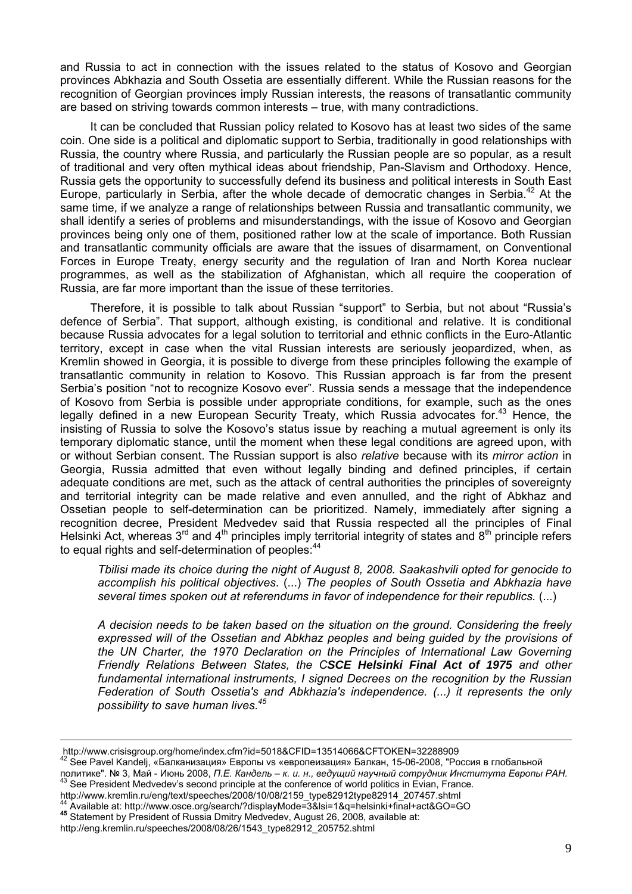and Russia to act in connection with the issues related to the status of Kosovo and Georgian provinces Abkhazia and South Ossetia are essentially different. While the Russian reasons for the recognition of Georgian provinces imply Russian interests, the reasons of transatlantic community are based on striving towards common interests – true, with many contradictions.

It can be concluded that Russian policy related to Kosovo has at least two sides of the same coin. One side is a political and diplomatic support to Serbia, traditionally in good relationships with Russia, the country where Russia, and particularly the Russian people are so popular, as a result of traditional and very often mythical ideas about friendship, Pan-Slavism and Orthodoxy. Hence, Russia gets the opportunity to successfully defend its business and political interests in South East Europe, particularly in Serbia, after the whole decade of democratic changes in Serbia.<sup>42</sup> At the same time, if we analyze a range of relationships between Russia and transatlantic community, we shall identify a series of problems and misunderstandings, with the issue of Kosovo and Georgian provinces being only one of them, positioned rather low at the scale of importance. Both Russian and transatlantic community officials are aware that the issues of disarmament, on Conventional Forces in Europe Treaty, energy security and the regulation of Iran and North Korea nuclear programmes, as well as the stabilization of Afghanistan, which all require the cooperation of Russia, are far more important than the issue of these territories.

Therefore, it is possible to talk about Russian "support" to Serbia, but not about "Russia's defence of Serbia". That support, although existing, is conditional and relative. It is conditional because Russia advocates for a legal solution to territorial and ethnic conflicts in the Euro-Atlantic territory, except in case when the vital Russian interests are seriously jeopardized, when, as Kremlin showed in Georgia, it is possible to diverge from these principles following the example of transatlantic community in relation to Kosovo. This Russian approach is far from the present Serbia's position "not to recognize Kosovo ever". Russia sends a message that the independence of Kosovo from Serbia is possible under appropriate conditions, for example, such as the ones legally defined in a new European Security Treaty, which Russia advocates for.<sup>43</sup> Hence, the insisting of Russia to solve the Kosovo's status issue by reaching a mutual agreement is only its temporary diplomatic stance, until the moment when these legal conditions are agreed upon, with or without Serbian consent. The Russian support is also *relative* because with its *mirror action* in Georgia, Russia admitted that even without legally binding and defined principles, if certain adequate conditions are met, such as the attack of central authorities the principles of sovereignty and territorial integrity can be made relative and even annulled, and the right of Abkhaz and Ossetian people to self-determination can be prioritized. Namely, immediately after signing a recognition decree, President Medvedev said that Russia respected all the principles of Final Helsinki Act, whereas  $3^{rd}$  and  $4^{th}$  principles imply territorial integrity of states and  $8^{th}$  principle refers to equal rights and self-determination of peoples: <sup>44</sup>

*Tbilisi made its choice during the night of August 8, 2008. Saakashvili opted for genocide to accomplish his political objectives*. (...) *The peoples of South Ossetia and Abkhazia have several times spoken out at referendums in favor of independence for their republics.* (...)

*A decision needs to be taken based on the situation on the ground. Considering the freely expressed will of the Ossetian and Abkhaz peoples and being guided by the provisions of the UN Charter, the 1970 Declaration on the Principles of International Law Governing Friendly Relations Between States, the CSCE Helsinki Final Act of 1975 and other fundamental international instruments, I signed Decrees on the recognition by the Russian Federation of South Ossetia's and Abkhazia's independence. (...) it represents the only possibility to save human lives.<sup>45</sup>*

http://www.crisisgroup.org/home/index.cfm?id=5018&CFID=13514066&CFTOKEN=32288909

<sup>42</sup> See Pavel Kandelj, «Балканизация» Европы vs «европеизация» Балкан, 15-06-2008, "Россия в глобальной политике". № 3, Май - Июнь 2008, *П.Е. Кандель – к. и. н., ведущий научный сотрудник Института Европы РАН.*<br><sup>43</sup> See President Medvedev's second principle at the conference of world politics in Evian, France.<br>http://www.

<sup>&</sup>lt;sup>44</sup> Available at: http://www.osce.org/search/?displayMode=3&lsi=1&q=helsinki+final+act&GO=GO<br><sup>45</sup> Statement by President of Russia Dmitry Medvedev, August 26, 2008, available at:

http://eng.kremlin.ru/speeches/2008/08/26/1543\_type82912\_205752.shtml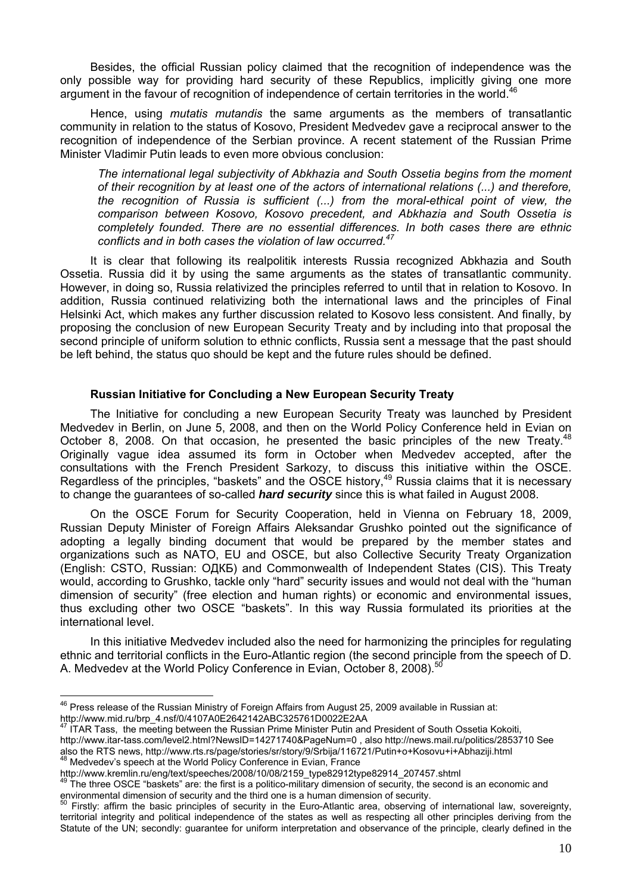Besides, the official Russian policy claimed that the recognition of independence was the only possible way for providing hard security of these Republics, implicitly giving one more argument in the favour of recognition of independence of certain territories in the world.<sup>4</sup>

Hence, using *mutatis mutandis* the same arguments as the members of transatlantic community in relation to the status of Kosovo, President Medvedev gave a reciprocal answer to the recognition of independence of the Serbian province. A recent statement of the Russian Prime Minister Vladimir Putin leads to even more obvious conclusion:

*The international legal subjectivity of Abkhazia and South Ossetia begins from the moment of their recognition by at least one of the actors of international relations (...) and therefore, the recognition of Russia is sufficient (...) from the moral-ethical point of view, the comparison between Kosovo, Kosovo precedent, and Abkhazia and South Ossetia is completely founded. There are no essential differences. In both cases there are ethnic conflicts and in both cases the violation of law occurred.<sup>47</sup>*

It is clear that following its realpolitik interests Russia recognized Abkhazia and South Ossetia. Russia did it by using the same arguments as the states of transatlantic community. However, in doing so, Russia relativized the principles referred to until that in relation to Kosovo. In addition, Russia continued relativizing both the international laws and the principles of Final Helsinki Act, which makes any further discussion related to Kosovo less consistent. And finally, by proposing the conclusion of new European Security Treaty and by including into that proposal the second principle of uniform solution to ethnic conflicts, Russia sent a message that the past should be left behind, the status quo should be kept and the future rules should be defined.

### **Russian Initiative for Concluding a New European Security Treaty**

The Initiative for concluding a new European Security Treaty was launched by President Medvedev in Berlin, on June 5, 2008, and then on the World Policy Conference held in Evian on October 8, 2008. On that occasion, he presented the basic principles of the new Treaty.<sup>48</sup> Originally vague idea assumed its form in October when Medvedev accepted, after the consultations with the French President Sarkozy, to discuss this initiative within the OSCE. Regardless of the principles, "baskets" and the OSCE history,<sup>49</sup> Russia claims that it is necessary to change the guarantees of so-called *hard security* since this is what failed in August 2008.

On the OSCE Forum for Security Cooperation, held in Vienna on February 18, 2009, Russian Deputy Minister of Foreign Affairs Aleksandar Grushko pointed out the significance of adopting a legally binding document that would be prepared by the member states and organizations such as NATO, EU and OSCE, but also Collective Security Treaty Organization (English: CSTO, Russian: ОДКБ) and Commonwealth of Independent States (CIS). This Treaty would, according to Grushko, tackle only "hard" security issues and would not deal with the "human dimension of security" (free election and human rights) or economic and environmental issues, thus excluding other two OSCE "baskets". In this way Russia formulated its priorities at the international level.

In this initiative Medvedev included also the need for harmonizing the principles for regulating ethnic and territorial conflicts in the Euro-Atlantic region (the second principle from the speech of D. A. Medvedev at the World Policy Conference in Evian, October 8, 2008).<sup>50</sup>

ITAR Tass, the meeting between the Russian Prime Minister Putin and President of South Ossetia Kokoiti, http://www.itar-tass.com/level2.html?NewsID=14271740&PageNum=0 , also http://news.mail.ru/politics/2853710 See also the RTS news, http://www.rts.rs/page/stories/sr/story/9/Srbija/116721/Putin+o+Kosovu+i+Abhaziji.html<br>
<sup>48</sup> Medvedev's speech at the World Policy Conference in Evian, France<br>
http://www.kremlin.ru/eng/text/speeches/200

 $\overline{a}$  $^{46}$  Press release of the Russian Ministry of Foreign Affairs from August 25, 2009 available in Russian at: http://www.mid.ru/brp\_4.nsf/0/4107A0E2642142ABC325761D0022E2AA

The three OSCE "baskets" are: the first is a politico-military dimension of security, the second is an economic and environmental dimension of security and the third one is a human dimension of security.

<sup>&</sup>lt;sup>50</sup> Firstly: affirm the basic principles of security in the Euro-Atlantic area, observing of international law, sovereignty, territorial integrity and political independence of the states as well as respecting all other principles deriving from the Statute of the UN; secondly: guarantee for uniform interpretation and observance of the principle, clearly defined in the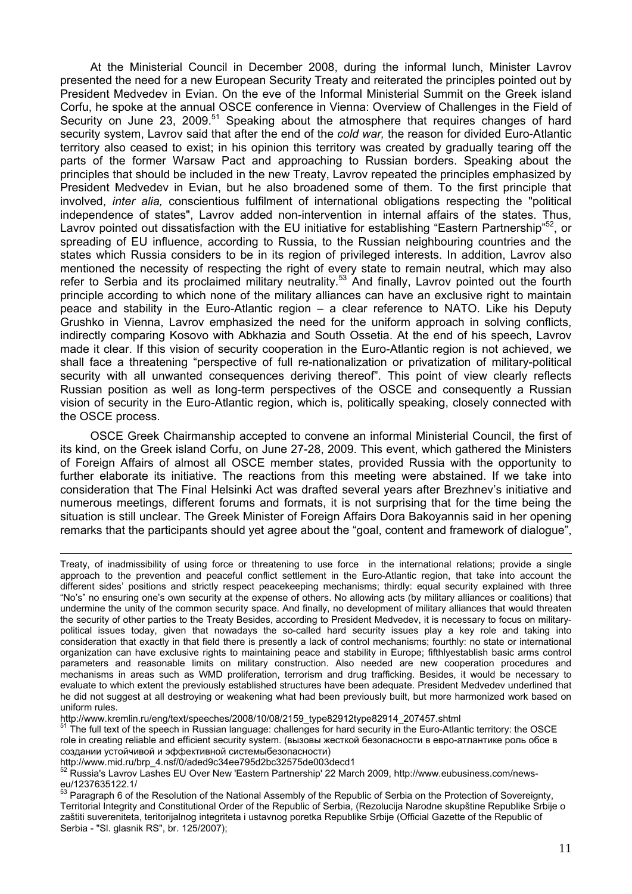At the Ministerial Council in December 2008, during the informal lunch, Minister Lavrov presented the need for a new European Security Treaty and reiterated the principles pointed out by President Medvedev in Evian. On the eve of the Informal Ministerial Summit on the Greek island Corfu, he spoke at the annual OSCE conference in Vienna: Overview of Challenges in the Field of Security on June 23, 2009.<sup>51</sup> Speaking about the atmosphere that requires changes of hard security system, Lavrov said that after the end of the *cold war,* the reason for divided Euro-Atlantic territory also ceased to exist; in his opinion this territory was created by gradually tearing off the parts of the former Warsaw Pact and approaching to Russian borders. Speaking about the principles that should be included in the new Treaty, Lavrov repeated the principles emphasized by President Medvedev in Evian, but he also broadened some of them. To the first principle that involved, *inter alia,* conscientious fulfilment of international obligations respecting the "political independence of states", Lavrov added non-intervention in internal affairs of the states. Thus, Lavrov pointed out dissatisfaction with the EU initiative for establishing "Eastern Partnership"<sup>52</sup>, or spreading of EU influence, according to Russia, to the Russian neighbouring countries and the states which Russia considers to be in its region of privileged interests. In addition, Lavrov also mentioned the necessity of respecting the right of every state to remain neutral, which may also refer to Serbia and its proclaimed military neutrality.<sup>53</sup> And finally, Lavrov pointed out the fourth principle according to which none of the military alliances can have an exclusive right to maintain peace and stability in the Euro-Atlantic region – a clear reference to NATO. Like his Deputy Grushko in Vienna, Lavrov emphasized the need for the uniform approach in solving conflicts, indirectly comparing Kosovo with Abkhazia and South Ossetia. At the end of his speech, Lavrov made it clear. If this vision of security cooperation in the Euro-Atlantic region is not achieved, we shall face a threatening "perspective of full re-nationalization or privatization of military-political security with all unwanted consequences deriving thereof". This point of view clearly reflects Russian position as well as long-term perspectives of the OSCE and consequently a Russian vision of security in the Euro-Atlantic region, which is, politically speaking, closely connected with the OSCE process.

OSCE Greek Chairmanship accepted to convene an informal Ministerial Council, the first of its kind, on the Greek island Corfu, on June 27-28, 2009. This event, which gathered the Ministers of Foreign Affairs of almost all OSCE member states, provided Russia with the opportunity to further elaborate its initiative. The reactions from this meeting were abstained. If we take into consideration that The Final Helsinki Act was drafted several years after Brezhnev's initiative and numerous meetings, different forums and formats, it is not surprising that for the time being the situation is still unclear. The Greek Minister of Foreign Affairs Dora Bakoyannis said in her opening remarks that the participants should yet agree about the "goal, content and framework of dialogue",

http://www.kremlin.ru/eng/text/speeches/2008/10/08/2159\_type82912type82914\_207457.shtml<br><sup>51</sup> The full text of the speech in Russian language: challenges for hard security in the Euro-Atlantic territory: the OSCE role in creating reliable and efficient security system. (вызовы жесткой безопасности в евро-атлантике роль обсе в создании устойчивой и эффективной системыбезопасности)

http://www.mid.ru/brp\_4.nsf/0/aded9c34ee795d2bc32575de003decd1

 $\overline{a}$ Treaty, of inadmissibility of using force or threatening to use force in the international relations; provide a single approach to the prevention and peaceful conflict settlement in the Euro-Atlantic region, that take into account the different sides' positions and strictly respect peacekeeping mechanisms; thirdly: equal security explained with three "No's" no ensuring one's own security at the expense of others. No allowing acts (by military alliances or coalitions) that undermine the unity of the common security space. And finally, no development of military alliances that would threaten the security of other parties to the Treaty Besides, according to President Medvedev, it is necessary to focus on militarypolitical issues today, given that nowadays the so-called hard security issues play a key role and taking into consideration that exactly in that field there is presently a lack of control mechanisms; fourthly: no state or international organization can have exclusive rights to maintaining peace and stability in Europe; fifthlyestablish basic arms control parameters and reasonable limits on military construction. Also needed are new cooperation procedures and mechanisms in areas such as WMD proliferation, terrorism and drug trafficking. Besides, it would be necessary to evaluate to which extent the previously established structures have been adequate. President Medvedev underlined that he did not suggest at all destroying or weakening what had been previously built, but more harmonized work based on uniform rules.

<sup>52</sup> Russia's Lavrov Lashes EU Over New 'Eastern Partnership' 22 March 2009, http://www.eubusiness.com/newseu/1237635122.1/

 $53$  Paragraph 6 of the Resolution of the National Assembly of the Republic of Serbia on the Protection of Sovereignty, Territorial Integrity and Constitutional Order of the Republic of Serbia, (Rezolucija Narodne skupštine Republike Srbije o zaštiti suvereniteta, teritorijalnog integriteta i ustavnog poretka Republike Srbije (Official Gazette of the Republic of Serbia - "Sl. glasnik RS", br. 125/2007);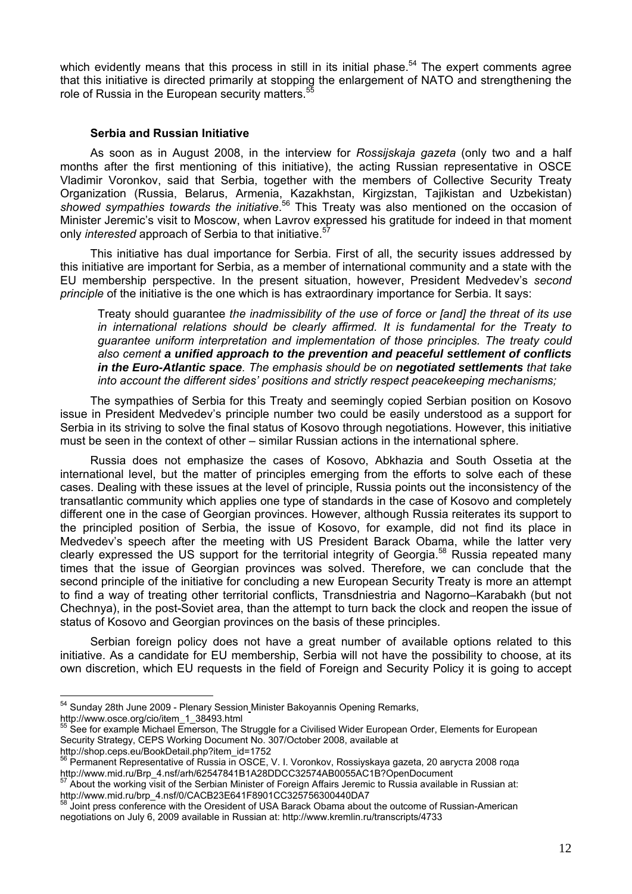which evidently means that this process in still in its initial phase.<sup>54</sup> The expert comments agree that this initiative is directed primarily at stopping the enlargement of NATO and strengthening the role of Russia in the European security matters.<sup>5</sup>

## **Serbia and Russian Initiative**

As soon as in August 2008, in the interview for *Rossijskaja gazeta* (only two and a half months after the first mentioning of this initiative), the acting Russian representative in OSCE Vladimir Voronkov, said that Serbia, together with the members of Collective Security Treaty Organization (Russia, Belarus, Armenia, Kazakhstan, Kirgizstan, Tajikistan and Uzbekistan) showed sympathies towards the initiative.<sup>56</sup> This Treaty was also mentioned on the occasion of Minister Jeremic's visit to Moscow, when Lavrov expressed his gratitude for indeed in that moment only *interested* approach of Serbia to that initiative.<sup>5</sup>

This initiative has dual importance for Serbia. First of all, the security issues addressed by this initiative are important for Serbia, as a member of international community and a state with the EU membership perspective. In the present situation, however, President Medvedev's *second principle* of the initiative is the one which is has extraordinary importance for Serbia. It says:

Treaty should guarantee *the inadmissibility of the use of force or [and] the threat of its use in international relations should be clearly affirmed. It is fundamental for the Treaty to guarantee uniform interpretation and implementation of those principles. The treaty could also cement a unified approach to the prevention and peaceful settlement of conflicts in the Euro-Atlantic space. The emphasis should be on negotiated settlements that take into account the different sides' positions and strictly respect peacekeeping mechanisms;* 

The sympathies of Serbia for this Treaty and seemingly copied Serbian position on Kosovo issue in President Medvedev's principle number two could be easily understood as a support for Serbia in its striving to solve the final status of Kosovo through negotiations. However, this initiative must be seen in the context of other – similar Russian actions in the international sphere.

Russia does not emphasize the cases of Kosovo, Abkhazia and South Ossetia at the international level, but the matter of principles emerging from the efforts to solve each of these cases. Dealing with these issues at the level of principle, Russia points out the inconsistency of the transatlantic community which applies one type of standards in the case of Kosovo and completely different one in the case of Georgian provinces. However, although Russia reiterates its support to the principled position of Serbia, the issue of Kosovo, for example, did not find its place in Medvedev's speech after the meeting with US President Barack Obama, while the latter very clearly expressed the US support for the territorial integrity of Georgia.58 Russia repeated many times that the issue of Georgian provinces was solved. Therefore, we can conclude that the second principle of the initiative for concluding a new European Security Treaty is more an attempt to find a way of treating other territorial conflicts, Transdniestria and Nagorno–Karabakh (but not Chechnya), in the post-Soviet area, than the attempt to turn back the clock and reopen the issue of status of Kosovo and Georgian provinces on the basis of these principles.

Serbian foreign policy does not have a great number of available options related to this initiative. As a candidate for EU membership, Serbia will not have the possibility to choose, at its own discretion, which EU requests in the field of Foreign and Security Policy it is going to accept

<sup>&</sup>lt;sup>54</sup> Sunday 28th June 2009 - Plenary Session Minister Bakoyannis Opening Remarks,

http://www.osce.org/cio/item\_1\_38493.html<br><sup>55</sup> See for example Michael Emerson, The Struggle for a Civilised Wider European Order, Elements for European Security Strategy, CEPS Working Document No. 307/October 2008, available at http://shop.ceps.eu/BookDetail.php?item\_id=1752

<sup>156</sup> Permanent Representative of Russia in OSCE, V. I. Voronkov, Rossiyskaya gazeta, 20 августа 2008 года http://www.mid.ru/Brp\_4.nsf/arh/62547841B1A28DDCC32574AB0055AC1B?OpenDocument

About the working visit of the Serbian Minister of Foreign Affairs Jeremic to Russia available in Russian at: http://www.mid.ru/brp\_4.nsf/0/CACB23E641F8901CC325756300440DA7

Joint press conference with the Oresident of USA Barack Obama about the outcome of Russian-American negotiations on July 6, 2009 available in Russian at: http://www.kremlin.ru/transcripts/4733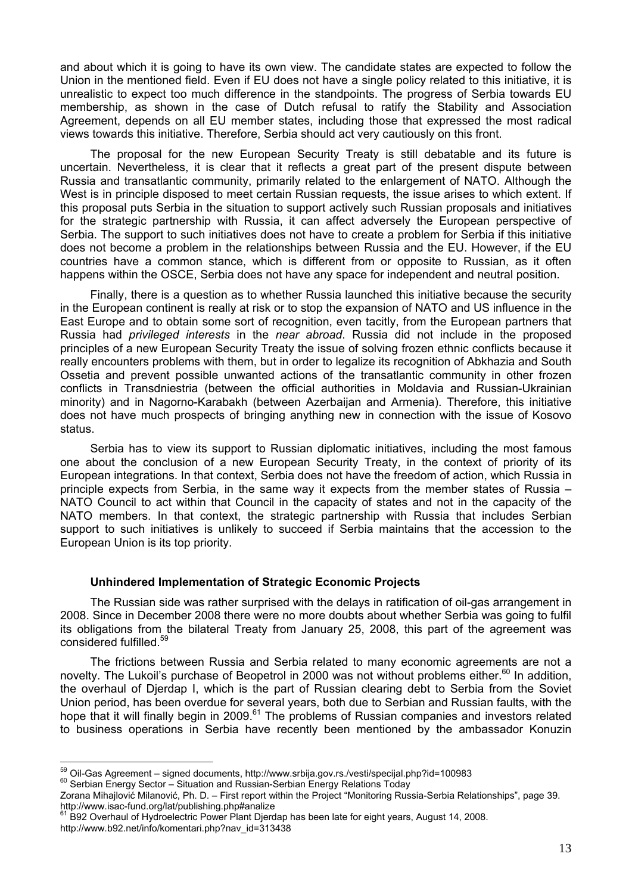and about which it is going to have its own view. The candidate states are expected to follow the Union in the mentioned field. Even if EU does not have a single policy related to this initiative, it is unrealistic to expect too much difference in the standpoints. The progress of Serbia towards EU membership, as shown in the case of Dutch refusal to ratify the Stability and Association Agreement, depends on all EU member states, including those that expressed the most radical views towards this initiative. Therefore, Serbia should act very cautiously on this front.

The proposal for the new European Security Treaty is still debatable and its future is uncertain. Nevertheless, it is clear that it reflects a great part of the present dispute between Russia and transatlantic community, primarily related to the enlargement of NATO. Although the West is in principle disposed to meet certain Russian requests, the issue arises to which extent. If this proposal puts Serbia in the situation to support actively such Russian proposals and initiatives for the strategic partnership with Russia, it can affect adversely the European perspective of Serbia. The support to such initiatives does not have to create a problem for Serbia if this initiative does not become a problem in the relationships between Russia and the EU. However, if the EU countries have a common stance, which is different from or opposite to Russian, as it often happens within the OSCE, Serbia does not have any space for independent and neutral position.

Finally, there is a question as to whether Russia launched this initiative because the security in the European continent is really at risk or to stop the expansion of NATO and US influence in the East Europe and to obtain some sort of recognition, even tacitly, from the European partners that Russia had *privileged interests* in the *near abroad*. Russia did not include in the proposed principles of a new European Security Treaty the issue of solving frozen ethnic conflicts because it really encounters problems with them, but in order to legalize its recognition of Abkhazia and South Ossetia and prevent possible unwanted actions of the transatlantic community in other frozen conflicts in Transdniestria (between the official authorities in Moldavia and Russian-Ukrainian minority) and in Nagorno-Karabakh (between Azerbaijan and Armenia). Therefore, this initiative does not have much prospects of bringing anything new in connection with the issue of Kosovo status.

Serbia has to view its support to Russian diplomatic initiatives, including the most famous one about the conclusion of a new European Security Treaty, in the context of priority of its European integrations. In that context, Serbia does not have the freedom of action, which Russia in principle expects from Serbia, in the same way it expects from the member states of Russia – NATO Council to act within that Council in the capacity of states and not in the capacity of the NATO members. In that context, the strategic partnership with Russia that includes Serbian support to such initiatives is unlikely to succeed if Serbia maintains that the accession to the European Union is its top priority.

# **Unhindered Implementation of Strategic Economic Projects**

The Russian side was rather surprised with the delays in ratification of oil-gas arrangement in 2008. Since in December 2008 there were no more doubts about whether Serbia was going to fulfil its obligations from the bilateral Treaty from January 25, 2008, this part of the agreement was considered fulfilled.59

The frictions between Russia and Serbia related to many economic agreements are not a novelty. The Lukoil's purchase of Beopetrol in 2000 was not without problems either.<sup>60</sup> In addition, the overhaul of Djerdap I, which is the part of Russian clearing debt to Serbia from the Soviet Union period, has been overdue for several years, both due to Serbian and Russian faults, with the hope that it will finally begin in 2009.<sup>61</sup> The problems of Russian companies and investors related to business operations in Serbia have recently been mentioned by the ambassador Konuzin

 $\overline{a}$ 

Zorana Mihajlović Milanović, Ph. D. – First report within the Project "Monitoring Russia-Serbia Relationships", page 39. http://www.isac-fund.org/lat/publishing.php#analize

<sup>&</sup>lt;sup>59</sup> Oil-Gas Agreement – signed documents, http://www.srbija.gov.rs./vesti/specijal.php?id=100983<br><sup>60</sup> Serbian Energy Sector – Situation and Russian-Serbian Energy Relations Today

 $61$  B92 Overhaul of Hydroelectric Power Plant Dierdap has been late for eight years, August 14, 2008. http://www.b92.net/info/komentari.php?nav\_id=313438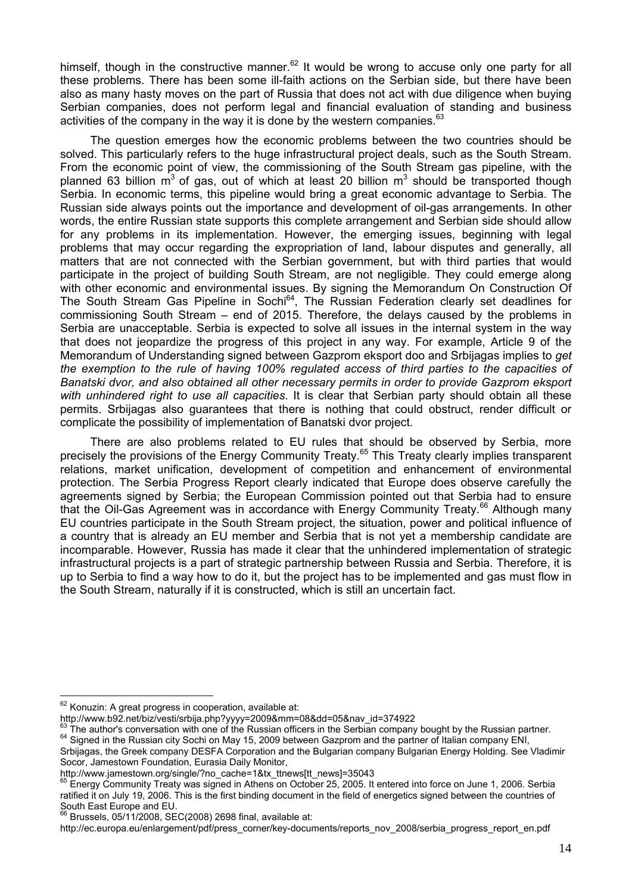himself, though in the constructive manner.<sup>62</sup> It would be wrong to accuse only one party for all these problems. There has been some ill-faith actions on the Serbian side, but there have been also as many hasty moves on the part of Russia that does not act with due diligence when buying Serbian companies, does not perform legal and financial evaluation of standing and business activities of the company in the way it is done by the western companies.  $63$ 

The question emerges how the economic problems between the two countries should be solved. This particularly refers to the huge infrastructural project deals, such as the South Stream. From the economic point of view, the commissioning of the South Stream gas pipeline, with the planned 63 billion m<sup>3</sup> of gas, out of which at least 20 billion m<sup>3</sup> should be transported though Serbia. In economic terms, this pipeline would bring a great economic advantage to Serbia. The Russian side always points out the importance and development of oil-gas arrangements. In other words, the entire Russian state supports this complete arrangement and Serbian side should allow for any problems in its implementation. However, the emerging issues, beginning with legal problems that may occur regarding the expropriation of land, labour disputes and generally, all matters that are not connected with the Serbian government, but with third parties that would participate in the project of building South Stream, are not negligible. They could emerge along with other economic and environmental issues. By signing the Memorandum On Construction Of The South Stream Gas Pipeline in Sochi<sup>64</sup>, The Russian Federation clearly set deadlines for commissioning South Stream – end of 2015. Therefore, the delays caused by the problems in Serbia are unacceptable. Serbia is expected to solve all issues in the internal system in the way that does not jeopardize the progress of this project in any way. For example, Article 9 of the Memorandum of Understanding signed between Gazprom eksport doo and Srbijagas implies to *get the exemption to the rule of having 100% regulated access of third parties to the capacities of Banatski dvor, and also obtained all other necessary permits in order to provide Gazprom eksport with unhindered right to use all capacities*. It is clear that Serbian party should obtain all these permits. Srbijagas also guarantees that there is nothing that could obstruct, render difficult or complicate the possibility of implementation of Banatski dvor project.

There are also problems related to EU rules that should be observed by Serbia, more precisely the provisions of the Energy Community Treaty.<sup>65</sup> This Treaty clearly implies transparent relations, market unification, development of competition and enhancement of environmental protection. The Serbia Progress Report clearly indicated that Europe does observe carefully the agreements signed by Serbia; the European Commission pointed out that Serbia had to ensure that the Oil-Gas Agreement was in accordance with Energy Community Treaty.<sup>66</sup> Although many EU countries participate in the South Stream project, the situation, power and political influence of a country that is already an EU member and Serbia that is not yet a membership candidate are incomparable. However, Russia has made it clear that the unhindered implementation of strategic infrastructural projects is a part of strategic partnership between Russia and Serbia. Therefore, it is up to Serbia to find a way how to do it, but the project has to be implemented and gas must flow in the South Stream, naturally if it is constructed, which is still an uncertain fact.

http://ec.europa.eu/enlargement/pdf/press\_corner/key-documents/reports\_nov\_2008/serbia\_progress\_report\_en.pdf

 $\overline{a}$  $62$  Konuzin: A great progress in cooperation, available at:

http://www.b92.net/biz/vesti/srbija.php?yyyy=2009&mm=08&dd=05&nav\_id=374922<br><sup>63</sup> The author's conversation with one of the Russian officers in the Serbian company bought by the Russian partner.<br><sup>64</sup> Signed in the Russian c Srbijagas, the Greek company DESFA Corporation and the Bulgarian company Bulgarian Energy Holding. See Vladimir

Socor, Jamestown Foundation, Eurasia Daily Monitor,<br>http://www.jamestown.org/single/?no\_cache=1&tx\_ttnews[tt\_news]=35043

Energy Community Treaty was signed in Athens on October 25, 2005. It entered into force on June 1, 2006. Serbia ratified it on July 19, 2006. This is the first binding document in the field of energetics signed between the countries of South East Europe and EU.

 $66$  Brussels, 05/11/2008, SEC(2008) 2698 final, available at: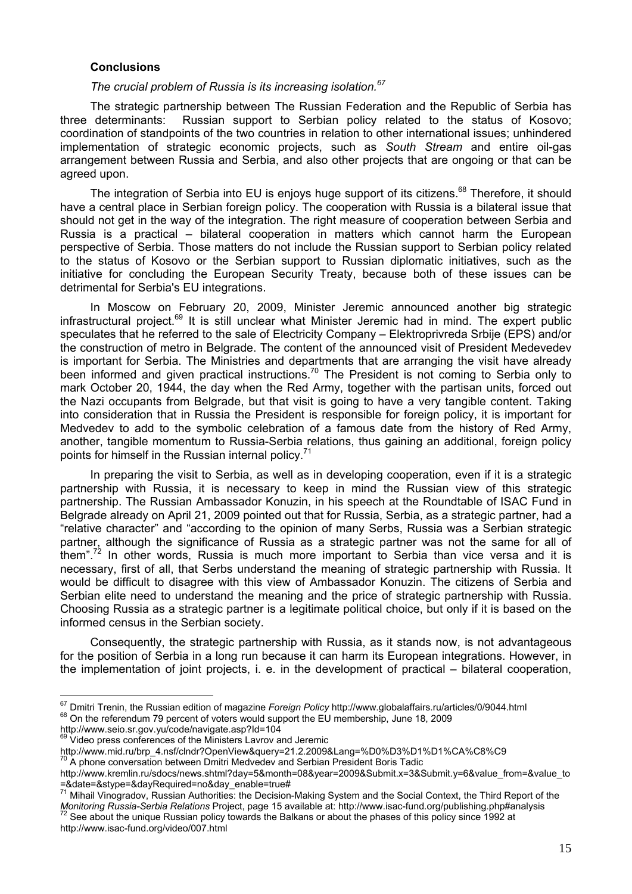## **Conclusions**

### *The crucial problem of Russia is its increasing isolation.<sup>67</sup>*

The strategic partnership between The Russian Federation and the Republic of Serbia has three determinants: Russian support to Serbian policy related to the status of Kosovo; coordination of standpoints of the two countries in relation to other international issues; unhindered implementation of strategic economic projects, such as *South Stream* and entire oil-gas arrangement between Russia and Serbia, and also other projects that are ongoing or that can be agreed upon.

The integration of Serbia into EU is enjoys huge support of its citizens.<sup>68</sup> Therefore, it should have a central place in Serbian foreign policy. The cooperation with Russia is a bilateral issue that should not get in the way of the integration. The right measure of cooperation between Serbia and Russia is a practical – bilateral cooperation in matters which cannot harm the European perspective of Serbia. Those matters do not include the Russian support to Serbian policy related to the status of Kosovo or the Serbian support to Russian diplomatic initiatives, such as the initiative for concluding the European Security Treaty, because both of these issues can be detrimental for Serbia's EU integrations.

In Moscow on February 20, 2009, Minister Jeremic announced another big strategic infrastructural project.<sup>69</sup> It is still unclear what Minister Jeremic had in mind. The expert public speculates that he referred to the sale of Electricity Company – Elektroprivreda Srbije (EPS) and/or the construction of metro in Belgrade. The content of the announced visit of President Medevedev is important for Serbia. The Ministries and departments that are arranging the visit have already been informed and given practical instructions.<sup>70</sup> The President is not coming to Serbia only to mark October 20, 1944, the day when the Red Army, together with the partisan units, forced out the Nazi occupants from Belgrade, but that visit is going to have a very tangible content. Taking into consideration that in Russia the President is responsible for foreign policy, it is important for Medvedev to add to the symbolic celebration of a famous date from the history of Red Army, another, tangible momentum to Russia-Serbia relations, thus gaining an additional, foreign policy points for himself in the Russian internal policy.<sup>71</sup>

In preparing the visit to Serbia, as well as in developing cooperation, even if it is a strategic partnership with Russia, it is necessary to keep in mind the Russian view of this strategic partnership. The Russian Ambassador Konuzin, in his speech at the Roundtable of ISAC Fund in Belgrade already on April 21, 2009 pointed out that for Russia, Serbia, as a strategic partner, had a "relative character" and "according to the opinion of many Serbs, Russia was a Serbian strategic partner, although the significance of Russia as a strategic partner was not the same for all of them".<sup>72</sup> In other words, Russia is much more important to Serbia than vice versa and it is necessary, first of all, that Serbs understand the meaning of strategic partnership with Russia. It would be difficult to disagree with this view of Ambassador Konuzin. The citizens of Serbia and Serbian elite need to understand the meaning and the price of strategic partnership with Russia. Choosing Russia as a strategic partner is a legitimate political choice, but only if it is based on the informed census in the Serbian society.

Consequently, the strategic partnership with Russia, as it stands now, is not advantageous for the position of Serbia in a long run because it can harm its European integrations. However, in the implementation of joint projects, i. e. in the development of practical – bilateral cooperation,

 $\overline{a}$ <sup>67</sup> Dmitri Trenin, the Russian edition of magazine *Foreign Policy* http://www.globalaffairs.ru/articles/0/9044.html<br><sup>68</sup> On the referendum 79 percent of voters would support the EU membership, June 18, 2009

<sup>&</sup>lt;sup>68</sup> On the referendum 79 percent of voters would support the EU membership, June 18, 2009<br>http://www.seio.sr.gov.yu/code/navigate.asp?Id=104

Video press conferences of the Ministers Lavrov and Jeremic

http://www.mid.ru/brp\_4.nsf/clndr?OpenView&query=21.2.2009&Lang=%D0%D3%D1%D1%CA%C8%C9

<sup>&</sup>lt;sup>70</sup> A phone conversation between Dmitri Medvedev and Serbian President Boris Tadic

http://www.kremlin.ru/sdocs/news.shtml?day=5&month=08&year=2009&Submit.x=3&Submit.y=6&value\_from=&value\_to =&date=&stype=&dayRequired=no&day\_enable=true#

<sup>71</sup> Mihail Vinogradov, Russian Authorities: the Decision-Making System and the Social Context, the Third Report of the Monitoring Russia-Serbia Relations Project, page 15 available at: http://www.isac-fund.org/publishing.php#analysis Monitoring Russia-Serbia Relations Project, page 15 available at: http://www.isac-fund.org/publishing.php#a http://www.isac-fund.org/video/007.html